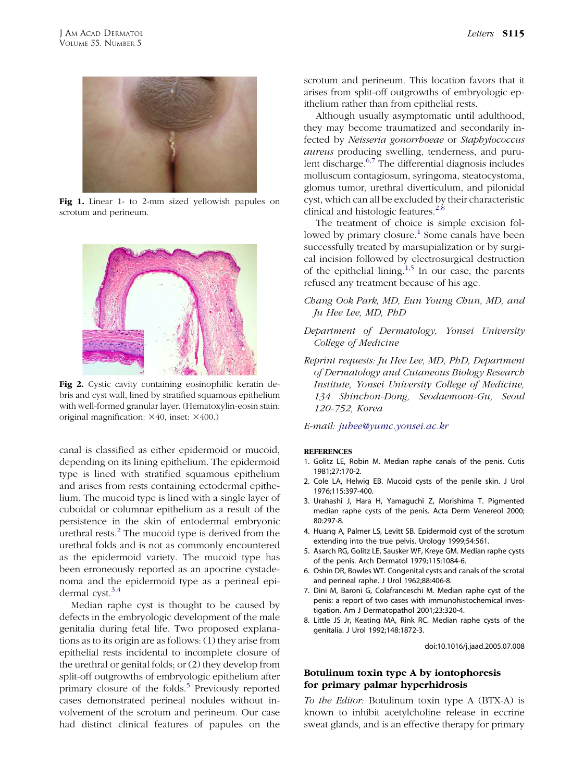

Fig 1. Linear 1- to 2-mm sized yellowish papules on scrotum and perineum.



Fig 2. Cystic cavity containing eosinophilic keratin debris and cyst wall, lined by stratified squamous epithelium with well-formed granular layer. (Hematoxylin-eosin stain; original magnification:  $\times 40$ , inset:  $\times 400$ .)

canal is classified as either epidermoid or mucoid, depending on its lining epithelium. The epidermoid type is lined with stratified squamous epithelium and arises from rests containing ectodermal epithelium. The mucoid type is lined with a single layer of cuboidal or columnar epithelium as a result of the persistence in the skin of entodermal embryonic urethral rests.<sup>2</sup> The mucoid type is derived from the urethral folds and is not as commonly encountered as the epidermoid variety. The mucoid type has been erroneously reported as an apocrine cystadenoma and the epidermoid type as a perineal epidermal cyst.3,4

Median raphe cyst is thought to be caused by defects in the embryologic development of the male genitalia during fetal life. Two proposed explanations as to its origin are as follows: (1) they arise from epithelial rests incidental to incomplete closure of the urethral or genital folds; or (2) they develop from split-off outgrowths of embryologic epithelium after primary closure of the folds.<sup>5</sup> Previously reported cases demonstrated perineal nodules without involvement of the scrotum and perineum. Our case had distinct clinical features of papules on the

scrotum and perineum. This location favors that it arises from split-off outgrowths of embryologic epithelium rather than from epithelial rests.

Although usually asymptomatic until adulthood, they may become traumatized and secondarily infected by Neisseria gonorrhoeae or Staphylococcus aureus producing swelling, tenderness, and purulent discharge. $6,7$  The differential diagnosis includes molluscum contagiosum, syringoma, steatocystoma, glomus tumor, urethral diverticulum, and pilonidal cyst, which can all be excluded by their characteristic clinical and histologic features. $2,8$ 

The treatment of choice is simple excision followed by primary closure.<sup>1</sup> Some canals have been successfully treated by marsupialization or by surgical incision followed by electrosurgical destruction of the epithelial lining.1,5 In our case, the parents refused any treatment because of his age.

# Chang Ook Park, MD, Eun Young Chun, MD, and Ju Hee Lee, MD, PhD

# Department of Dermatology, Yonsei University College of Medicine

Reprint requests: Ju Hee Lee, MD, PhD, Department of Dermatology and Cutaneous Biology Research Institute, Yonsei University College of Medicine, 134 Shinchon-Dong, Seodaemoon-Gu, Seoul 120-752, Korea

### E-mail: [juhee@yumc.yonsei.ac.kr](mailto:fujisan@kojima.net)

#### **REFERENCES**

- 1. Golitz LE, Robin M. Median raphe canals of the penis. Cutis 1981;27:170-2.
- 2. Cole LA, Helwig EB. Mucoid cysts of the penile skin. J Urol 1976;115:397-400.
- 3. Urahashi J, Hara H, Yamaguchi Z, Morishima T. Pigmented median raphe cysts of the penis. Acta Derm Venereol 2000; 80:297-8.
- 4. Huang A, Palmer LS, Levitt SB. Epidermoid cyst of the scrotum extending into the true pelvis. Urology 1999;54:561.
- 5. Asarch RG, Golitz LE, Sausker WF, Kreye GM. Median raphe cysts of the penis. Arch Dermatol 1979;115:1084-6.
- 6. Oshin DR, Bowles WT. Congenital cysts and canals of the scrotal and perineal raphe. J Urol 1962;88:406-8.
- 7. Dini M, Baroni G, Colafranceschi M. Median raphe cyst of the penis: a report of two cases with immunohistochemical investigation. Am J Dermatopathol 2001;23:320-4.
- 8. Little JS Jr, Keating MA, Rink RC. Median raphe cysts of the genitalia. J Urol 1992;148:1872-3.

doi:10.1016/j.jaad.2005.07.008

## Botulinum toxin type A by iontophoresis for primary palmar hyperhidrosis

To the Editor: Botulinum toxin type A (BTX-A) is known to inhibit acetylcholine release in eccrine sweat glands, and is an effective therapy for primary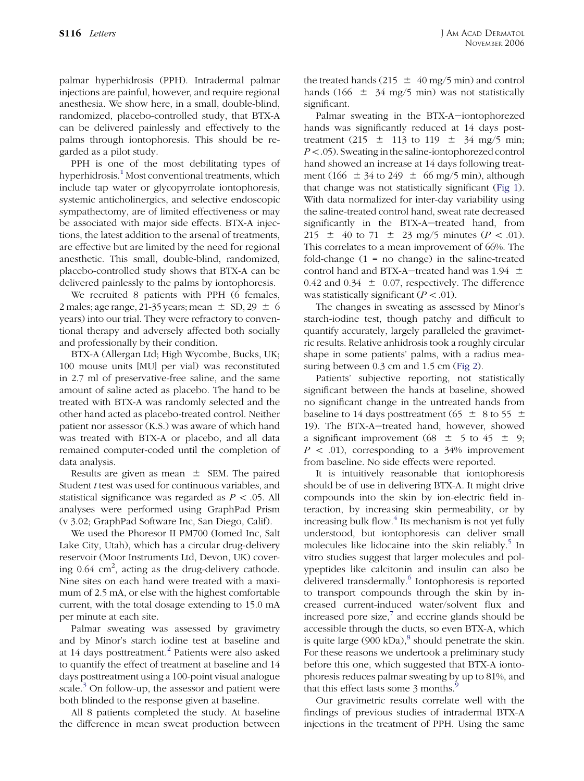palmar hyperhidrosis (PPH). Intradermal palmar injections are painful, however, and require regional anesthesia. We show here, in a small, double-blind, randomized, placebo-controlled study, that BTX-A can be delivered painlessly and effectively to the palms through iontophoresis. This should be regarded as a pilot study.

PPH is one of the most debilitating types of hyperhidrosis.<sup>[1](#page-2-0)</sup> Most conventional treatments, which include tap water or glycopyrrolate iontophoresis, systemic anticholinergics, and selective endoscopic sympathectomy, are of limited effectiveness or may be associated with major side effects. BTX-A injections, the latest addition to the arsenal of treatments, are effective but are limited by the need for regional anesthetic. This small, double-blind, randomized, placebo-controlled study shows that BTX-A can be delivered painlessly to the palms by iontophoresis.

We recruited 8 patients with PPH (6 females, 2 males; age range, 21-35 years; mean  $\pm$  SD, 29  $\pm$  6 years) into our trial. They were refractory to conventional therapy and adversely affected both socially and professionally by their condition.

BTX-A (Allergan Ltd; High Wycombe, Bucks, UK; 100 mouse units [MU] per vial) was reconstituted in 2.7 ml of preservative-free saline, and the same amount of saline acted as placebo. The hand to be treated with BTX-A was randomly selected and the other hand acted as placebo-treated control. Neither patient nor assessor (K.S.) was aware of which hand was treated with BTX-A or placebo, and all data remained computer-coded until the completion of data analysis.

Results are given as mean  $\pm$  SEM. The paired Student t test was used for continuous variables, and statistical significance was regarded as  $P \lt .05$ . All analyses were performed using GraphPad Prism (v 3.02; GraphPad Software Inc, San Diego, Calif).

We used the Phoresor II PM700 (Iomed Inc, Salt Lake City, Utah), which has a circular drug-delivery reservoir (Moor Instruments Ltd, Devon, UK) covering  $0.64 \text{ cm}^2$ , acting as the drug-delivery cathode. Nine sites on each hand were treated with a maximum of 2.5 mA, or else with the highest comfortable current, with the total dosage extending to 15.0 mA per minute at each site.

Palmar sweating was assessed by gravimetry and by Minor's starch iodine test at baseline and at 14 days posttreatment.<sup>[2](#page-2-0)</sup> Patients were also asked to quantify the effect of treatment at baseline and 14 days posttreatment using a 100-point visual analogue scale. $3$  On follow-up, the assessor and patient were both blinded to the response given at baseline.

All 8 patients completed the study. At baseline the difference in mean sweat production between the treated hands (215  $\pm$  40 mg/5 min) and control hands (166  $\pm$  34 mg/5 min) was not statistically significant.

Palmar sweating in the BTX-A-iontophorezed hands was significantly reduced at 14 days posttreatment (215  $\pm$  113 to 119  $\pm$  34 mg/5 min;  $P<.05$ ). Sweating in the saline-iontophorezed control hand showed an increase at 14 days following treatment (166  $\pm$  34 to 249  $\pm$  66 mg/5 min), although that change was not statistically significant ([Fig 1](#page-2-0)). With data normalized for inter-day variability using the saline-treated control hand, sweat rate decreased significantly in the BTX-A-treated hand, from 215  $\pm$  40 to 71  $\pm$  23 mg/5 minutes (*P* < .01). This correlates to a mean improvement of 66%. The fold-change  $(1 = no change)$  in the saline-treated control hand and BTX-A-treated hand was 1.94  $\pm$ 0.42 and 0.34  $\pm$  0.07, respectively. The difference was statistically significant ( $P < .01$ ).

The changes in sweating as assessed by Minor's starch-iodine test, though patchy and difficult to quantify accurately, largely paralleled the gravimetric results. Relative anhidrosis took a roughly circular shape in some patients' palms, with a radius measuring between 0.3 cm and 1.5 cm ([Fig 2](#page-2-0)).

Patients' subjective reporting, not statistically significant between the hands at baseline, showed no significant change in the untreated hands from baseline to 14 days posttreatment (65  $\pm$  8 to 55  $\pm$ 19). The BTX-A-treated hand, however, showed a significant improvement (68  $\pm$  5 to 45  $\pm$  9;  $P \, \langle 0.01 \rangle$ , corresponding to a 34% improvement from baseline. No side effects were reported.

It is intuitively reasonable that iontophoresis should be of use in delivering BTX-A. It might drive compounds into the skin by ion-electric field interaction, by increasing skin permeability, or by increasing bulk flow. $<sup>4</sup>$  $<sup>4</sup>$  $<sup>4</sup>$  Its mechanism is not yet fully</sup> understood, but iontophoresis can deliver small molecules like lidocaine into the skin reliably.<sup>[5](#page-2-0)</sup> In vitro studies suggest that larger molecules and polypeptides like calcitonin and insulin can also be delivered transdermally.<sup>[6](#page-2-0)</sup> Iontophoresis is reported to transport compounds through the skin by increased current-induced water/solvent flux and increased pore size, $\bar{z}$  and eccrine glands should be accessible through the ducts, so even BTX-A, which is quite large  $(900 \text{ kDa})$ ,<sup>[8](#page-2-0)</sup> should penetrate the skin. For these reasons we undertook a preliminary study before this one, which suggested that BTX-A iontophoresis reduces palmar sweating by up to 81%, and that this effect lasts some 3 months.<sup>[9](#page-2-0)</sup>

Our gravimetric results correlate well with the findings of previous studies of intradermal BTX-A injections in the treatment of PPH. Using the same